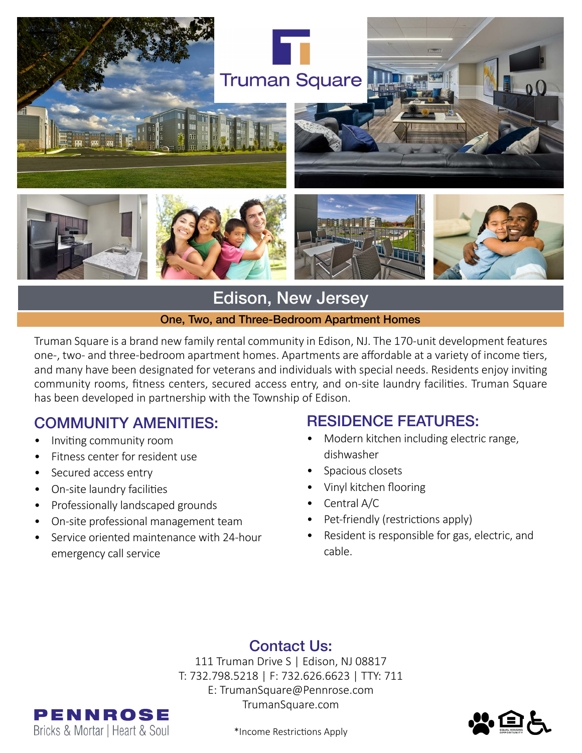

# Edison, New Jersey

#### One, Two, and Three-Bedroom Apartment Homes

Truman Square is a brand new family rental community in Edison, NJ. The 170-unit development features one-, two- and three-bedroom apartment homes. Apartments are affordable at a variety of income tiers, and many have been designated for veterans and individuals with special needs. Residents enjoy inviting community rooms, fitness centers, secured access entry, and on-site laundry facilities. Truman Square has been developed in partnership with the Township of Edison.

### COMMUNITY AMENITIES:

- Inviting community room
- Fitness center for resident use
- Secured access entry
- On-site laundry facilities
- Professionally landscaped grounds
- On-site professional management team
- Service oriented maintenance with 24-hour emergency call service

#### RESIDENCE FEATURES:

- Modern kitchen including electric range, dishwasher
- Spacious closets
- Vinyl kitchen flooring
- Central A/C
- Pet-friendly (restrictions apply)
- Resident is responsible for gas, electric, and cable.

### Contact Us:

111 Truman Drive S | Edison, NJ 08817 T: 732.798.5218 | F: 732.626.6623 | TTY: 711 E: TrumanSquare@Pennrose.com TrumanSquare.com



\*Income Restrictions Apply